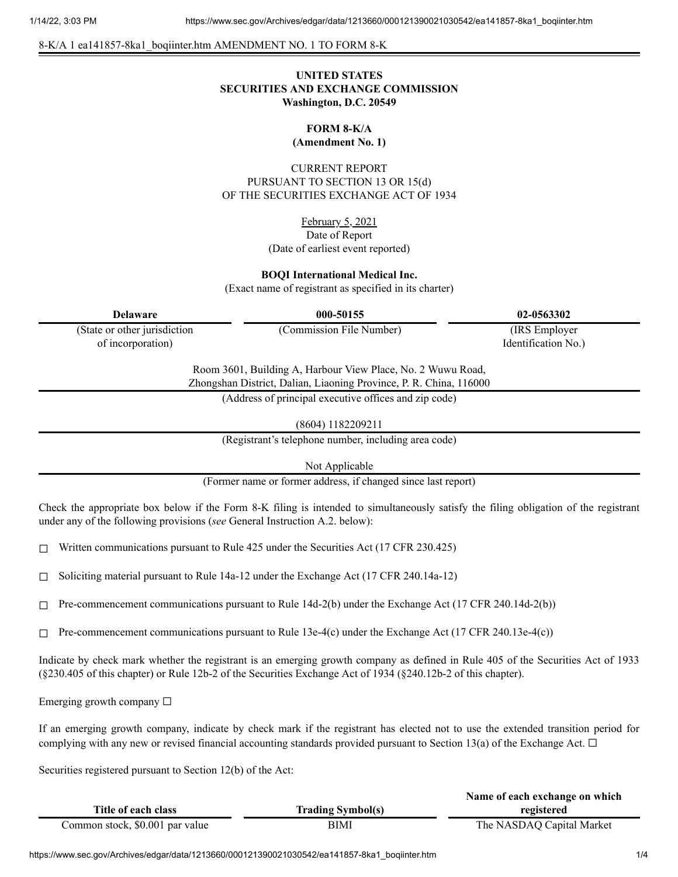#### 8-K/A 1 ea141857-8ka1\_boqiinter.htm AMENDMENT NO. 1 TO FORM 8-K

# **UNITED STATES SECURITIES AND EXCHANGE COMMISSION Washington, D.C. 20549**

# **FORM 8-K/A**

**(Amendment No. 1)**

CURRENT REPORT PURSUANT TO SECTION 13 OR 15(d) OF THE SECURITIES EXCHANGE ACT OF 1934

> February 5, 2021 Date of Report (Date of earliest event reported)

#### **BOQI International Medical Inc.**

(Exact name of registrant as specified in its charter)

| (State or other jurisdiction |  |
|------------------------------|--|
| of incorporation)            |  |

**Delaware 000-50155 02-0563302**

(Commission File Number) (IRS Employer Identification No.)

Room 3601, Building A, Harbour View Place, No. 2 Wuwu Road, Zhongshan District, Dalian, Liaoning Province, P. R. China, 116000

(Address of principal executive offices and zip code)

(8604) 1182209211

(Registrant's telephone number, including area code)

Not Applicable

(Former name or former address, if changed since last report)

Check the appropriate box below if the Form 8-K filing is intended to simultaneously satisfy the filing obligation of the registrant under any of the following provisions (*see* General Instruction A.2. below):

 $\Box$  Written communications pursuant to Rule 425 under the Securities Act (17 CFR 230.425)

☐ Soliciting material pursuant to Rule 14a-12 under the Exchange Act (17 CFR 240.14a-12)

 $\Box$  Pre-commencement communications pursuant to Rule 14d-2(b) under the Exchange Act (17 CFR 240.14d-2(b))

 $\Box$  Pre-commencement communications pursuant to Rule 13e-4(c) under the Exchange Act (17 CFR 240.13e-4(c))

Indicate by check mark whether the registrant is an emerging growth company as defined in Rule 405 of the Securities Act of 1933 (§230.405 of this chapter) or Rule 12b-2 of the Securities Exchange Act of 1934 (§240.12b-2 of this chapter).

Emerging growth company  $\Box$ 

If an emerging growth company, indicate by check mark if the registrant has elected not to use the extended transition period for complying with any new or revised financial accounting standards provided pursuant to Section 13(a) of the Exchange Act.  $\Box$ 

Securities registered pursuant to Section 12(b) of the Act:

|                                 |                          | Name of each exchange on which |
|---------------------------------|--------------------------|--------------------------------|
| Title of each class             | <b>Trading Symbol(s)</b> | registered                     |
| Common stock, \$0.001 par value | BIMI                     | The NASDAQ Capital Market      |

https://www.sec.gov/Archives/edgar/data/1213660/000121390021030542/ea141857-8ka1\_boqiinter.htm 1/4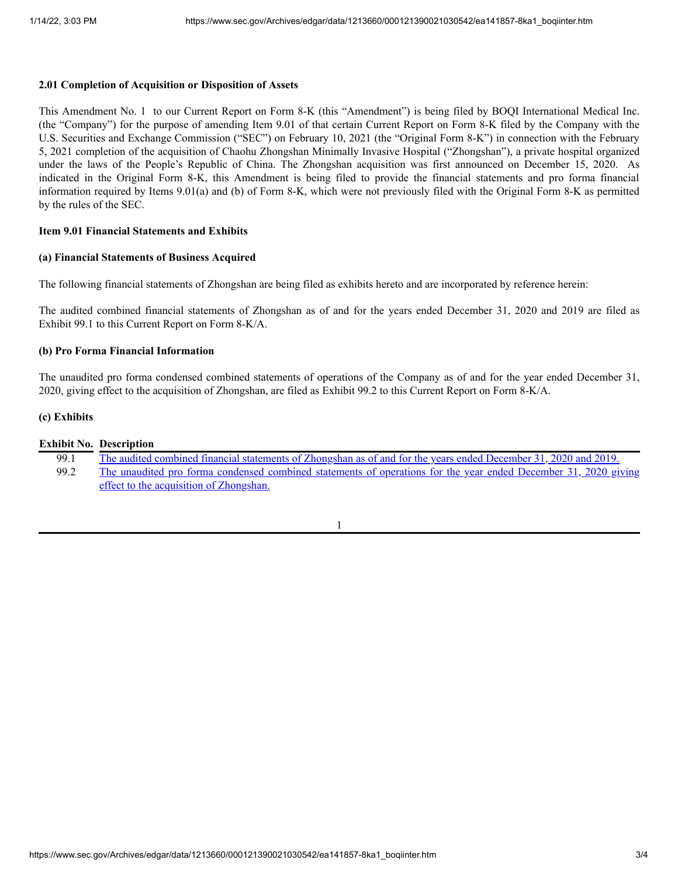# **2.01 Completion of Acquisition or Disposition of Assets**

This Amendment No. 1 to our Current Report on Form 8-K (this "Amendment") is being filed by BOQI International Medical Inc. (the "Company") for the purpose of amending Item 9.01 of that certain Current Report on Form 8-K filed by the Company with the U.S. Securities and Exchange Commission ("SEC") on February 10, 2021 (the "Original Form 8-K") in connection with the February 5, 2021 completion of the acquisition of Chaohu Zhongshan Minimally Invasive Hospital ("Zhongshan"), a private hospital organized under the laws of the People's Republic of China. The Zhongshan acquisition was first announced on December 15, 2020. As indicated in the Original Form 8-K, this Amendment is being filed to provide the financial statements and pro forma financial information required by Items 9.01(a) and (b) of Form 8-K, which were not previously filed with the Original Form 8-K as permitted by the rules of the SEC.

# **Item 9.01 Financial Statements and Exhibits**

#### **(a) Financial Statements of Business Acquired**

The following financial statements of Zhongshan are being filed as exhibits hereto and are incorporated by reference herein:

The audited combined financial statements of Zhongshan as of and for the years ended December 31, 2020 and 2019 are filed as Exhibit 99.1 to this Current Report on Form 8-K/A.

# **(b) Pro Forma Financial Information**

The unaudited pro forma condensed combined statements of operations of the Company as of and for the year ended December 31, 2020, giving effect to the acquisition of Zhongshan, are filed as Exhibit 99.2 to this Current Report on Form 8-K/A.

# **(c) Exhibits**

|      | <b>Exhibit No. Description</b>                                                                                   |
|------|------------------------------------------------------------------------------------------------------------------|
| 99.1 | The audited combined financial statements of Zhongshan as of and for the years ended December 31, 2020 and 2019. |
| 99.2 | The unaudited pro forma condensed combined statements of operations for the year ended December 31, 2020 giving  |
|      | effect to the acquisition of Zhongshan.                                                                          |

# 1